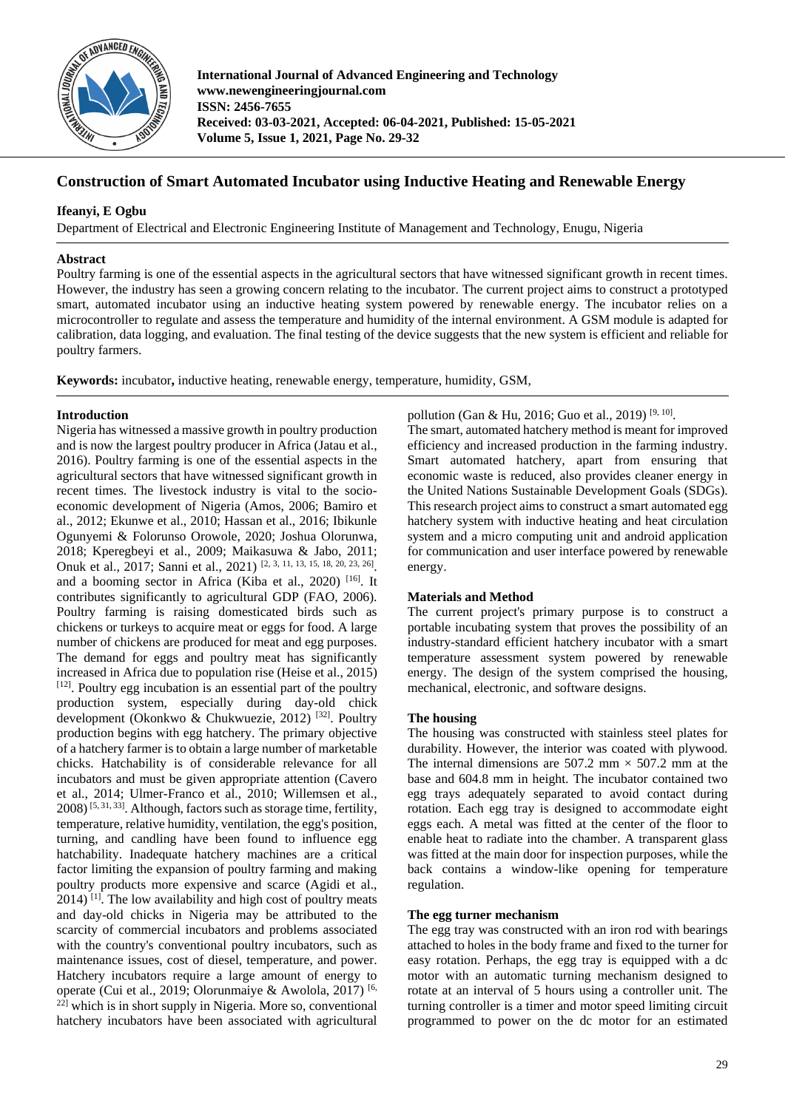

**International Journal of Advanced Engineering and Technology www.newengineeringjournal.com ISSN: 2456-7655 Received: 03-03-2021, Accepted: 06-04-2021, Published: 15-05-2021 Volume 5, Issue 1, 2021, Page No. 29-32**

# **Construction of Smart Automated Incubator using Inductive Heating and Renewable Energy**

# **Ifeanyi, E Ogbu**

Department of Electrical and Electronic Engineering Institute of Management and Technology, Enugu, Nigeria

#### **Abstract**

Poultry farming is one of the essential aspects in the agricultural sectors that have witnessed significant growth in recent times. However, the industry has seen a growing concern relating to the incubator. The current project aims to construct a prototyped smart, automated incubator using an inductive heating system powered by renewable energy. The incubator relies on a microcontroller to regulate and assess the temperature and humidity of the internal environment. A GSM module is adapted for calibration, data logging, and evaluation. The final testing of the device suggests that the new system is efficient and reliable for poultry farmers.

**Keywords:** incubator**,** inductive heating, renewable energy, temperature, humidity, GSM,

#### **Introduction**

Nigeria has witnessed a massive growth in poultry production and is now the largest poultry producer in Africa (Jatau et al., 2016). Poultry farming is one of the essential aspects in the agricultural sectors that have witnessed significant growth in recent times. The livestock industry is vital to the socioeconomic development of Nigeria (Amos, 2006; Bamiro et al., 2012; Ekunwe et al., 2010; Hassan et al., 2016; Ibikunle Ogunyemi & Folorunso Orowole, 2020; Joshua Olorunwa, 2018; Kperegbeyi et al., 2009; Maikasuwa & Jabo, 2011; Onuk et al., 2017; Sanni et al., 2021) [2, 3, 11, 13, 15, 18, 20, 23, 26]. and a booming sector in Africa (Kiba et al., 2020) [16]. It contributes significantly to agricultural GDP (FAO, 2006). Poultry farming is raising domesticated birds such as chickens or turkeys to acquire meat or eggs for food. A large number of chickens are produced for meat and egg purposes. The demand for eggs and poultry meat has significantly increased in Africa due to population rise (Heise et al., 2015) [12]. Poultry egg incubation is an essential part of the poultry production system, especially during day-old chick development (Okonkwo & Chukwuezie, 2012) [32]. Poultry production begins with egg hatchery. The primary objective of a hatchery farmer is to obtain a large number of marketable chicks. Hatchability is of considerable relevance for all incubators and must be given appropriate attention (Cavero et al., 2014; Ulmer-Franco et al., 2010; Willemsen et al., 2008) [5, 31, 33]. Although, factors such as storage time, fertility, temperature, relative humidity, ventilation, the egg's position, turning, and candling have been found to influence egg hatchability. Inadequate hatchery machines are a critical factor limiting the expansion of poultry farming and making poultry products more expensive and scarce (Agidi et al.,  $2014$ ) <sup>[1]</sup>. The low availability and high cost of poultry meats and day-old chicks in Nigeria may be attributed to the scarcity of commercial incubators and problems associated with the country's conventional poultry incubators, such as maintenance issues, cost of diesel, temperature, and power. Hatchery incubators require a large amount of energy to operate (Cui et al., 2019; Olorunmaiye & Awolola, 2017) [6,  $22$ ] which is in short supply in Nigeria. More so, conventional hatchery incubators have been associated with agricultural

pollution (Gan & Hu, 2016; Guo et al., 2019)<sup>[9, 10]</sup>.

The smart, automated hatchery method is meant for improved efficiency and increased production in the farming industry. Smart automated hatchery, apart from ensuring that economic waste is reduced, also provides cleaner energy in the United Nations Sustainable Development Goals (SDGs). This research project aims to construct a smart automated egg hatchery system with inductive heating and heat circulation system and a micro computing unit and android application for communication and user interface powered by renewable energy.

### **Materials and Method**

The current project's primary purpose is to construct a portable incubating system that proves the possibility of an industry-standard efficient hatchery incubator with a smart temperature assessment system powered by renewable energy. The design of the system comprised the housing, mechanical, electronic, and software designs.

#### **The housing**

The housing was constructed with stainless steel plates for durability. However, the interior was coated with plywood. The internal dimensions are 507.2 mm  $\times$  507.2 mm at the base and 604.8 mm in height. The incubator contained two egg trays adequately separated to avoid contact during rotation. Each egg tray is designed to accommodate eight eggs each. A metal was fitted at the center of the floor to enable heat to radiate into the chamber. A transparent glass was fitted at the main door for inspection purposes, while the back contains a window-like opening for temperature regulation.

#### **The egg turner mechanism**

The egg tray was constructed with an iron rod with bearings attached to holes in the body frame and fixed to the turner for easy rotation. Perhaps, the egg tray is equipped with a dc motor with an automatic turning mechanism designed to rotate at an interval of 5 hours using a controller unit. The turning controller is a timer and motor speed limiting circuit programmed to power on the dc motor for an estimated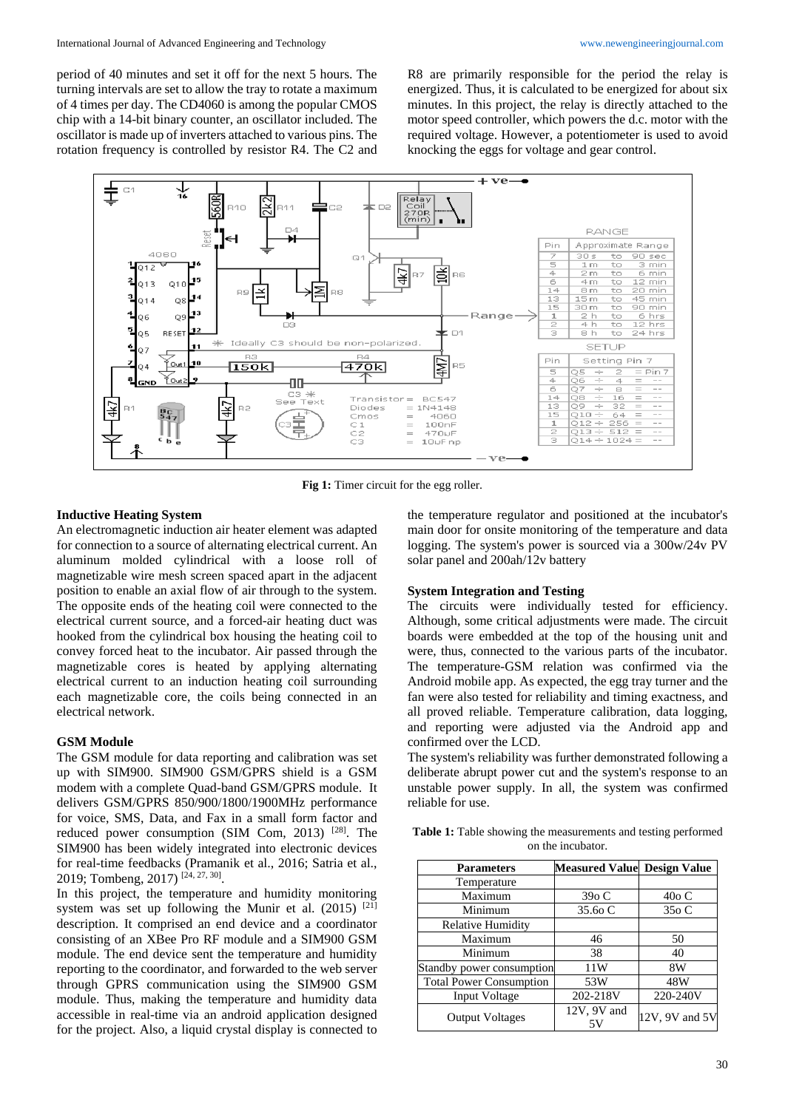period of 40 minutes and set it off for the next 5 hours. The turning intervals are set to allow the tray to rotate a maximum of 4 times per day. The CD4060 is among the popular CMOS chip with a 14-bit binary counter, an oscillator included. The oscillator is made up of inverters attached to various pins. The rotation frequency is controlled by resistor R4. The C2 and

R8 are primarily responsible for the period the relay is energized. Thus, it is calculated to be energized for about six minutes. In this project, the relay is directly attached to the motor speed controller, which powers the d.c. motor with the required voltage. However, a potentiometer is used to avoid knocking the eggs for voltage and gear control.



Fig 1: Timer circuit for the egg roller.

### **Inductive Heating System**

An electromagnetic induction air heater element was adapted for connection to a source of alternating electrical current. An aluminum molded cylindrical with a loose roll of magnetizable wire mesh screen spaced apart in the adjacent position to enable an axial flow of air through to the system. The opposite ends of the heating coil were connected to the electrical current source, and a forced-air heating duct was hooked from the cylindrical box housing the heating coil to convey forced heat to the incubator. Air passed through the magnetizable cores is heated by applying alternating electrical current to an induction heating coil surrounding each magnetizable core, the coils being connected in an electrical network.

### **GSM Module**

The GSM module for data reporting and calibration was set up with SIM900. SIM900 GSM/GPRS shield is a GSM modem with a complete Quad-band GSM/GPRS module. It delivers GSM/GPRS 850/900/1800/1900MHz performance for voice, SMS, Data, and Fax in a small form factor and reduced power consumption (SIM Com, 2013) [28]. The SIM900 has been widely integrated into electronic devices for real-time feedbacks (Pramanik et al., 2016; Satria et al., 2019; Tombeng, 2017)<sup>[24, 27, 30]</sup>.

In this project, the temperature and humidity monitoring system was set up following the Munir et al.  $(2015)$ <sup>[21]</sup> description. It comprised an end device and a coordinator consisting of an XBee Pro RF module and a SIM900 GSM module. The end device sent the temperature and humidity reporting to the coordinator, and forwarded to the web server through GPRS communication using the SIM900 GSM module. Thus, making the temperature and humidity data accessible in real-time via an android application designed for the project. Also, a liquid crystal display is connected to

the temperature regulator and positioned at the incubator's main door for onsite monitoring of the temperature and data logging. The system's power is sourced via a 300w/24v PV solar panel and 200ah/12v battery

#### **System Integration and Testing**

The circuits were individually tested for efficiency. Although, some critical adjustments were made. The circuit boards were embedded at the top of the housing unit and were, thus, connected to the various parts of the incubator. The temperature-GSM relation was confirmed via the Android mobile app. As expected, the egg tray turner and the fan were also tested for reliability and timing exactness, and all proved reliable. Temperature calibration, data logging, and reporting were adjusted via the Android app and confirmed over the LCD.

The system's reliability was further demonstrated following a deliberate abrupt power cut and the system's response to an unstable power supply. In all, the system was confirmed reliable for use.

**Table 1:** Table showing the measurements and testing performed on the incubator.

| <b>Parameters</b>              | <b>Measured Value Design Value</b> |                |
|--------------------------------|------------------------------------|----------------|
| Temperature                    |                                    |                |
| Maximum                        | 390 C                              | $40o$ C        |
| Minimum                        | 35.60 C                            | 350 C          |
| <b>Relative Humidity</b>       |                                    |                |
| Maximum                        | 46                                 | 50             |
| Minimum                        | 38                                 | 40             |
| Standby power consumption      | 11W                                | 8W             |
| <b>Total Power Consumption</b> | 53W                                | 48W            |
| <b>Input Voltage</b>           | 202-218V                           | 220-240V       |
| <b>Output Voltages</b>         | 12V, 9V and                        | 12V, 9V and 5V |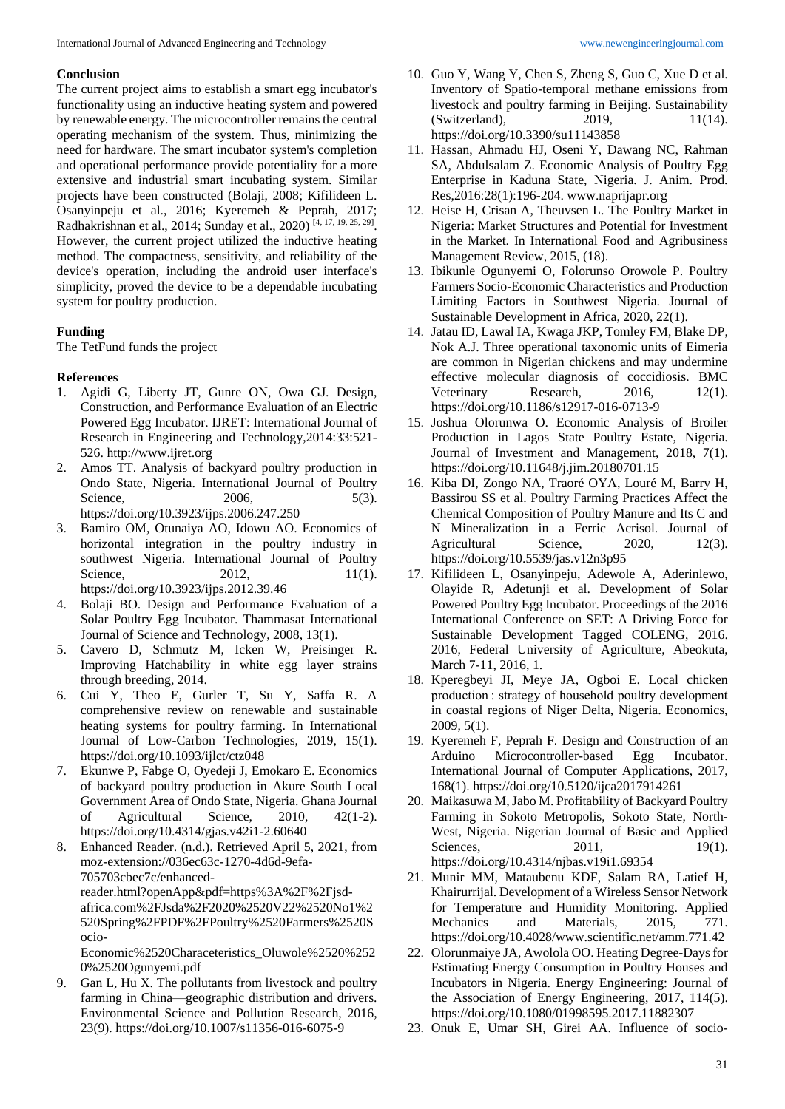#### **Conclusion**

The current project aims to establish a smart egg incubator's functionality using an inductive heating system and powered by renewable energy. The microcontroller remains the central operating mechanism of the system. Thus, minimizing the need for hardware. The smart incubator system's completion and operational performance provide potentiality for a more extensive and industrial smart incubating system. Similar projects have been constructed (Bolaji, 2008; Kifilideen L. Osanyinpeju et al., 2016; Kyeremeh & Peprah, 2017; Radhakrishnan et al., 2014; Sunday et al., 2020)<sup>[4, 17, 19, 25, 29]</sup>. However, the current project utilized the inductive heating method. The compactness, sensitivity, and reliability of the device's operation, including the android user interface's simplicity, proved the device to be a dependable incubating system for poultry production.

# **Funding**

The TetFund funds the project

### **References**

- 1. Agidi G, Liberty JT, Gunre ON, Owa GJ. Design, Construction, and Performance Evaluation of an Electric Powered Egg Incubator. IJRET: International Journal of Research in Engineering and Technology,2014:33:521- 526. http://www.ijret.org
- 2. Amos TT. Analysis of backyard poultry production in Ondo State, Nigeria. International Journal of Poultry Science, 2006, 5(3). https://doi.org/10.3923/ijps.2006.247.250
- 3. Bamiro OM, Otunaiya AO, Idowu AO. Economics of horizontal integration in the poultry industry in southwest Nigeria. International Journal of Poultry Science, 2012, 11(1). https://doi.org/10.3923/ijps.2012.39.46
- 4. Bolaji BO. Design and Performance Evaluation of a Solar Poultry Egg Incubator. Thammasat International Journal of Science and Technology, 2008, 13(1).
- 5. Cavero D, Schmutz M, Icken W, Preisinger R. Improving Hatchability in white egg layer strains through breeding, 2014.
- 6. Cui Y, Theo E, Gurler T, Su Y, Saffa R. A comprehensive review on renewable and sustainable heating systems for poultry farming. In International Journal of Low-Carbon Technologies, 2019, 15(1). https://doi.org/10.1093/ijlct/ctz048
- 7. Ekunwe P, Fabge O, Oyedeji J, Emokaro E. Economics of backyard poultry production in Akure South Local Government Area of Ondo State, Nigeria. Ghana Journal of Agricultural Science, 2010, 42(1-2). https://doi.org/10.4314/gjas.v42i1-2.60640
- 8. Enhanced Reader. (n.d.). Retrieved April 5, 2021, from moz-extension://036ec63c-1270-4d6d-9efa-705703cbec7c/enhancedreader.html?openApp&pdf=https%3A%2F%2Fjsdafrica.com%2FJsda%2F2020%2520V22%2520No1%2 520Spring%2FPDF%2FPoultry%2520Farmers%2520S ocio-

Economic%2520Characeteristics\_Oluwole%2520%252 0%2520Ogunyemi.pdf

9. Gan L, Hu X. The pollutants from livestock and poultry farming in China—geographic distribution and drivers. Environmental Science and Pollution Research, 2016, 23(9). https://doi.org/10.1007/s11356-016-6075-9

- 10. Guo Y, Wang Y, Chen S, Zheng S, Guo C, Xue D et al. Inventory of Spatio-temporal methane emissions from livestock and poultry farming in Beijing. Sustainability (Switzerland), 2019, 11(14). https://doi.org/10.3390/su11143858
- 11. Hassan, Ahmadu HJ, Oseni Y, Dawang NC, Rahman SA, Abdulsalam Z. Economic Analysis of Poultry Egg Enterprise in Kaduna State, Nigeria. J. Anim. Prod. Res,2016:28(1):196-204. www.naprijapr.org
- 12. Heise H, Crisan A, Theuvsen L. The Poultry Market in Nigeria: Market Structures and Potential for Investment in the Market. In International Food and Agribusiness Management Review, 2015, (18).
- 13. Ibikunle Ogunyemi O, Folorunso Orowole P. Poultry Farmers Socio-Economic Characteristics and Production Limiting Factors in Southwest Nigeria. Journal of Sustainable Development in Africa, 2020, 22(1).
- 14. Jatau ID, Lawal IA, Kwaga JKP, Tomley FM, Blake DP, Nok A.J. Three operational taxonomic units of Eimeria are common in Nigerian chickens and may undermine effective molecular diagnosis of coccidiosis. BMC Veterinary Research, 2016, 12(1). https://doi.org/10.1186/s12917-016-0713-9
- 15. Joshua Olorunwa O. Economic Analysis of Broiler Production in Lagos State Poultry Estate, Nigeria. Journal of Investment and Management, 2018, 7(1). https://doi.org/10.11648/j.jim.20180701.15
- 16. Kiba DI, Zongo NA, Traoré OYA, Louré M, Barry H, Bassirou SS et al. Poultry Farming Practices Affect the Chemical Composition of Poultry Manure and Its C and N Mineralization in a Ferric Acrisol. Journal of Agricultural Science, 2020, 12(3). https://doi.org/10.5539/jas.v12n3p95
- 17. Kifilideen L, Osanyinpeju, Adewole A, Aderinlewo, Olayide R, Adetunji et al. Development of Solar Powered Poultry Egg Incubator. Proceedings of the 2016 International Conference on SET: A Driving Force for Sustainable Development Tagged COLENG, 2016. 2016, Federal University of Agriculture, Abeokuta, March 7-11, 2016, 1.
- 18. Kperegbeyi JI, Meye JA, Ogboi E. Local chicken production : strategy of household poultry development in coastal regions of Niger Delta, Nigeria. Economics, 2009, 5(1).
- 19. Kyeremeh F, Peprah F. Design and Construction of an Arduino Microcontroller-based Egg Incubator. International Journal of Computer Applications, 2017, 168(1). https://doi.org/10.5120/ijca2017914261
- 20. Maikasuwa M, Jabo M. Profitability of Backyard Poultry Farming in Sokoto Metropolis, Sokoto State, North-West, Nigeria. Nigerian Journal of Basic and Applied Sciences. 2011. 19(1). https://doi.org/10.4314/njbas.v19i1.69354
- 21. Munir MM, Mataubenu KDF, Salam RA, Latief H, Khairurrijal. Development of a Wireless Sensor Network for Temperature and Humidity Monitoring. Applied Mechanics and Materials, 2015, 771. https://doi.org/10.4028/www.scientific.net/amm.771.42
- 22. Olorunmaiye JA, Awolola OO. Heating Degree-Days for Estimating Energy Consumption in Poultry Houses and Incubators in Nigeria. Energy Engineering: Journal of the Association of Energy Engineering, 2017, 114(5). https://doi.org/10.1080/01998595.2017.11882307
- 23. Onuk E, Umar SH, Girei AA. Influence of socio-